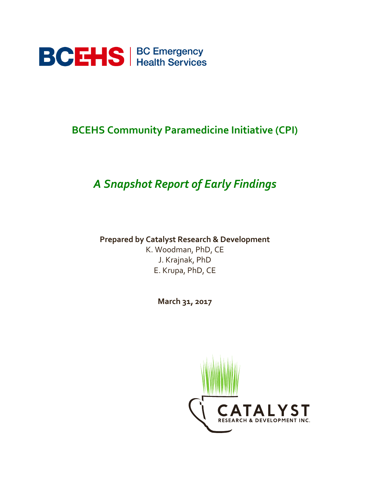

# **BCEHS Community Paramedicine Initiative (CPI)**

# *A Snapshot Report of Early Findings*

**Prepared by Catalyst Research & Development** 

K. Woodman, PhD, CE J. Krajnak, PhD E. Krupa, PhD, CE

**March 31, 2017**

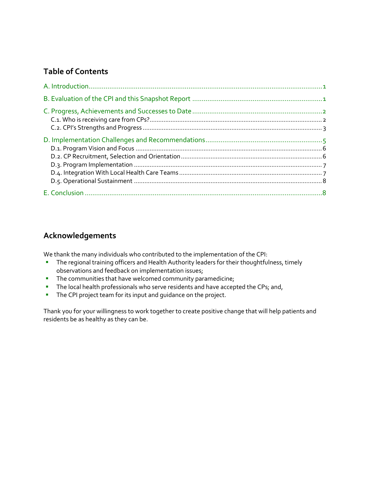## **Table of Contents**

# **Acknowledgements**

We thank the many individuals who contributed to the implementation of the CPI:

- **The regional training officers and Health Authority leaders for their thoughtfulness, timely** observations and feedback on implementation issues;
- **The communities that have welcomed community paramedicine;**
- The local health professionals who serve residents and have accepted the CPs; and,
- **The CPI project team for its input and guidance on the project.**

Thank you for your willingness to work together to create positive change that will help patients and residents be as healthy as they can be.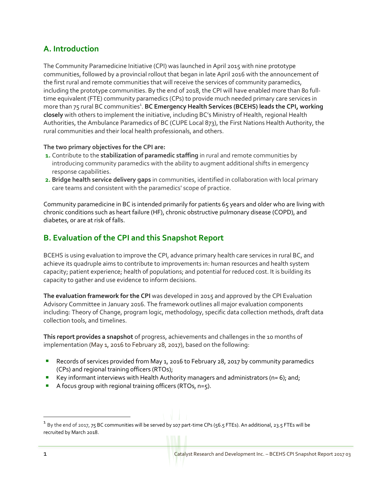# <span id="page-2-0"></span>**A. Introduction**

The Community Paramedicine Initiative (CPI) was launched in April 2015 with nine prototype communities, followed by a provincial rollout that began in late April 2016 with the announcement of the first rural and remote communities that will receive the services of community paramedics, including the prototype communities. By the end of 2018, the CPI will have enabled more than 80 fulltime equivalent (FTE) community paramedics (CPs) to provide much needed primary care services in more than 75 rural BC communities<sup>1</sup>. BC Emergency Health Services (BCEHS) leads the CPI, working **closely** with others to implement the initiative, including BC's Ministry of Health, regional Health Authorities, the Ambulance Paramedics of BC (CUPE Local 873), the First Nations Health Authority, the rural communities and their local health professionals, and others.

#### **The two primary objectives for the CPI are:**

- **1.** Contribute to the **stabilization of paramedic staffing** in rural and remote communities by introducing community paramedics with the ability to augment additional shifts in emergency response capabilities.
- **2. Bridge health service delivery gaps** in communities, identified in collaboration with local primary care teams and consistent with the paramedics' scope of practice.

Community paramedicine in BC is intended primarily for patients 65 years and older who are living with chronic conditions such as heart failure (HF), chronic obstructive pulmonary disease (COPD), and diabetes, or are at risk of falls.

## <span id="page-2-1"></span>**B. Evaluation of the CPI and this Snapshot Report**

BCEHS is using evaluation to improve the CPI, advance primary health care services in rural BC, and achieve its quadruple aims to contribute to improvements in: human resources and health system capacity; patient experience; health of populations; and potential for reduced cost. It is building its capacity to gather and use evidence to inform decisions.

**The evaluation framework for the CPI** was developed in 2015 and approved by the CPI Evaluation Advisory Committee in January 2016. The framework outlines all major evaluation components including: Theory of Change, program logic, methodology, specific data collection methods, draft data collection tools, and timelines.

**This report provides a snapshot** of progress, achievements and challenges in the 10 months of implementation (May 1, 2016 to February 28, 2017), based on the following:

- Records of services provided from May 1, 2016 to February 28, 2017 by community paramedics (CPs) and regional training officers (RTOs);
- Key informant interviews with Health Authority managers and administrators (n= 6); and;
- A focus group with regional training officers (RTOs,  $n=5$ ).

<sup>&</sup>lt;sup>1</sup> By the end of 2017, 75 BC communities will be served by 107 part-time CPs (56.5 FTEs). An additional, 23.5 FTEs will be recruited by March 2018.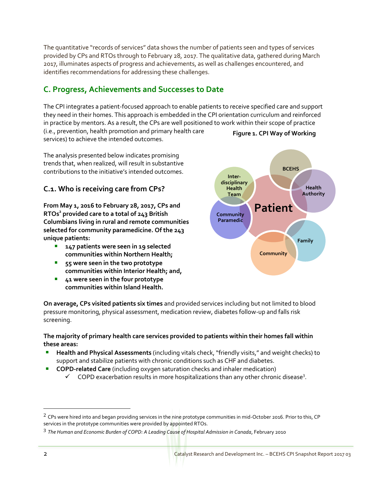The quantitative "records of services" data shows the number of patients seen and types of services provided by CPs and RTOs through to February 28, 2017. The qualitative data, gathered during March 2017, illuminates aspects of progress and achievements, as well as challenges encountered, and identifies recommendations for addressing these challenges.

# <span id="page-3-0"></span>**C. Progress, Achievements and Successes to Date**

The CPI integrates a patient-focused approach to enable patients to receive specified care and support they need in their homes. This approach is embedded in the CPI orientation curriculum and reinforced in practice by mentors. As a result, the CPs are well positioned to work within their scope of practice (i.e., prevention, health promotion and primary health care services) to achieve the intended outcomes. **Figure 1. CPI Way of Working**

The analysis presented below indicates promising trends that, when realized, will result in substantive contributions to the initiative's intended outcomes.

### <span id="page-3-1"></span>**C.1. Who is receiving care from CPs?**

**From May 1, 2016 to February 28, 2017, CPs and RTOs<sup>2</sup> provided care to a total of 243 British Columbians living in rural and remote communities selected for community paramedicine. Of the 243 unique patients:**

- **147 patients were seen in 19 selected communities within Northern Health;**
- **55 were seen in the two prototype communities within Interior Health; and,**
- **41 were seen in the four prototype communities within Island Health.**



**On average, CPs visited patients six times** and provided services including but not limited to blood pressure monitoring, physical assessment, medication review, diabetes follow-up and falls risk screening.

#### **The majority of primary health care services provided to patients within their homes fall within these areas:**

- **Health and Physical Assessments** (including vitals check, "friendly visits," and weight checks) to support and stabilize patients with chronic conditions such as CHF and diabetes.
- **COPD-related Care** (including oxygen saturation checks and inhaler medication)
	- $\checkmark$  COPD exacerbation results in more hospitalizations than any other chronic disease<sup>3</sup>.

<sup>&</sup>lt;sup>2</sup> CPs were hired into and began providing services in the nine prototype communities in mid-October 2016. Prior to this, CP services in the prototype communities were provided by appointed RTOs.

<sup>3</sup> *The Human and Economic Burden of COPD: A Leading Cause of Hospital Admission in Canada*, February 2010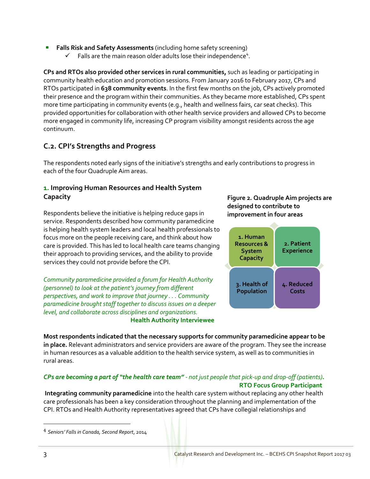- **Falls Risk and Safety Assessments** (including home safety screening)
	- $\checkmark$  Falls are the main reason older adults lose their independence<sup>4</sup>.

**CPs and RTOs also provided other services in rural communities,** such as leading or participating in community health education and promotion sessions. From January 2016 to February 2017, CPs and RTOs participated in **638 community events**. In the first few months on the job, CPs actively promoted their presence and the program within their communities. As they became more established, CPs spent more time participating in community events (e.g., health and wellness fairs, car seat checks). This provided opportunities for collaboration with other health service providers and allowed CPs to become more engaged in community life, increasing CP program visibility amongst residents across the age continuum.

### <span id="page-4-0"></span>**C.2. CPI's Strengths and Progress**

The respondents noted early signs of the initiative's strengths and early contributions to progress in each of the four Quadruple Aim areas.

### **1. Improving Human Resources and Health System Capacity**

Respondents believe the initiative is helping reduce gaps in service. Respondents described how community paramedicine is helping health system leaders and local health professionals to focus more on the people receiving care, and think about how care is provided. This has led to local health care teams changing their approach to providing services, and the ability to provide services they could not provide before the CPI.

*Community paramedicine provided a forum for Health Authority (personnel) to look at the patient's journey from different perspectives, and work to improve that journey . . . Community paramedicine brought staff together to discuss issues on a deeper level, and collaborate across disciplines and organizations.* **Health Authority Interviewee**

#### **Figure 2. Quadruple Aim projects are designed to contribute to improvement in four areas**



**Most respondents indicated that the necessary supports for community paramedicine appear to be in place.** Relevant administrators and service providers are aware of the program. They see the increase in human resources as a valuable addition to the health service system, as well as to communities in rural areas.

#### *CPs are becoming a part of "the health care team" - not just people that pick-up and drop-off (patients).* **RTO Focus Group Participant**

**Integrating community paramedicine** into the health care system without replacing any other health care professionals has been a key consideration throughout the planning and implementation of the CPI. RTOs and Health Authority representatives agreed that CPs have collegial relationships and

<sup>4</sup> *Seniors' Falls in Canada, Second Report*, 2014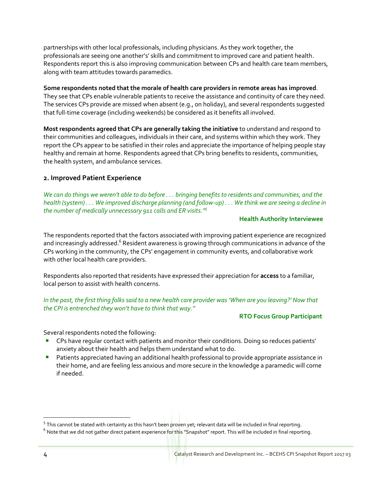partnerships with other local professionals, including physicians. As they work together, the professionals are seeing one another's' skills and commitment to improved care and patient health. Respondents report this is also improving communication between CPs and health care team members, along with team attitudes towards paramedics.

#### **Some respondents noted that the morale of health care providers in remote areas has improved**.

They see that CPs enable vulnerable patients to receive the assistance and continuity of care they need. The services CPs provide are missed when absent (e.g., on holiday), and several respondents suggested that full-time coverage (including weekends) be considered as it benefits all involved.

**Most respondents agreed that CPs are generally taking the initiative** to understand and respond to their communities and colleagues, individuals in their care, and systems within which they work. They report the CPs appear to be satisfied in their roles and appreciate the importance of helping people stay healthy and remain at home. Respondents agreed that CPs bring benefits to residents, communities, the health system, and ambulance services.

#### **2. Improved Patient Experience**

*We can do things we weren't able to do before . . . bringing benefits to residents and communities, and the health (system) . . . We improved discharge planning (and follow-up) . . . We think we are seeing a decline in the number of medically unnecessary 911 calls and ER visits." 5*

#### **Health Authority Interviewee**

The respondents reported that the factors associated with improving patient experience are recognized and increasingly addressed.<sup>6</sup> Resident awareness is growing through communications in advance of the CPs working in the community, the CPs' engagement in community events, and collaborative work with other local health care providers.

Respondents also reported that residents have expressed their appreciation for **access** to a familiar, local person to assist with health concerns.

#### *In the past, the first thing folks said to a new health care provider was 'When are you leaving?' Now that the CPI is entrenched they won't have to think that way."*

#### **RTO Focus Group Participant**

Several respondents noted the following:

- **CPs have regular contact with patients and monitor their conditions. Doing so reduces patients'** anxiety about their health and helps them understand what to do.
- **Patients appreciated having an additional health professional to provide appropriate assistance in** their home, and are feeling less anxious and more secure in the knowledge a paramedic will come if needed.

<sup>&</sup>lt;sup>5</sup> This cannot be stated with certainty as this hasn't been proven yet; relevant data will be included in final reporting.

 $^6$  Note that we did not gather direct patient experience for this "Snapshot" report. This will be included in final reporting.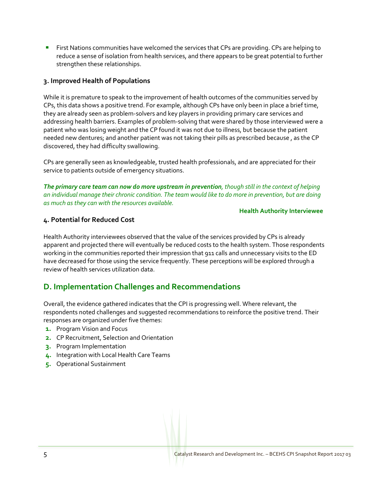**First Nations communities have welcomed the services that CPs are providing. CPs are helping to 1** reduce a sense of isolation from health services, and there appears to be great potential to further strengthen these relationships.

#### **3. Improved Health of Populations**

While it is premature to speak to the improvement of health outcomes of the communities served by CPs, this data shows a positive trend. For example, although CPs have only been in place a brief time, they are already seen as problem-solvers and key players in providing primary care services and addressing health barriers. Examples of problem-solving that were shared by those interviewed were a patient who was losing weight and the CP found it was not due to illness, but because the patient needed new dentures; and another patient was not taking their pills as prescribed because , as the CP discovered, they had difficulty swallowing.

CPs are generally seen as knowledgeable, trusted health professionals, and are appreciated for their service to patients outside of emergency situations.

*The primary care team can now do more upstream in prevention, though still in the context of helping an individual manage their chronic condition. The team would like to do more in prevention, but are doing as much as they can with the resources available.*

#### **Health Authority Interviewee**

#### **4. Potential for Reduced Cost**

Health Authority interviewees observed that the value of the services provided by CPs is already apparent and projected there will eventually be reduced costs to the health system. Those respondents working in the communities reported their impression that 911 calls and unnecessary visits to the ED have decreased for those using the service frequently. These perceptions will be explored through a review of health services utilization data.

### <span id="page-6-0"></span>**D. Implementation Challenges and Recommendations**

Overall, the evidence gathered indicates that the CPI is progressing well. Where relevant, the respondents noted challenges and suggested recommendations to reinforce the positive trend. Their responses are organized under five themes:

- **1.** Program Vision and Focus
- **2.** CP Recruitment, Selection and Orientation
- **3.** Program Implementation
- **4.** Integration with Local Health Care Teams
- <span id="page-6-1"></span>**5.** Operational Sustainment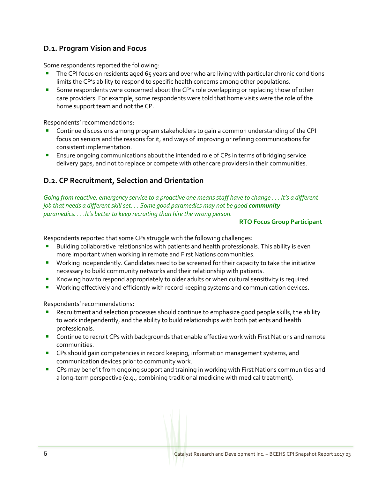### **D.1. Program Vision and Focus**

Some respondents reported the following:

- The CPI focus on residents aged 65 years and over who are living with particular chronic conditions limits the CP's ability to respond to specific health concerns among other populations.
- Some respondents were concerned about the CP's role overlapping or replacing those of other care providers. For example, some respondents were told that home visits were the role of the home support team and not the CP.

Respondents' recommendations:

- Continue discussions among program stakeholders to gain a common understanding of the CPI focus on seniors and the reasons for it, and ways of improving or refining communications for consistent implementation.
- Ensure ongoing communications about the intended role of CPs in terms of bridging service delivery gaps, and not to replace or compete with other care providers in their communities.

### <span id="page-7-0"></span>**D.2. CP Recruitment, Selection and Orientation**

*Going from reactive, emergency service to a proactive one meansstaff have to change . . . It's a different job that needs a different skill set. . . Some good paramedics may not be good community paramedics. . . .It's better to keep recruiting than hire the wrong person.*

#### **RTO Focus Group Participant**

Respondents reported that some CPs struggle with the following challenges:

- Building collaborative relationships with patients and health professionals. This ability is even more important when working in remote and First Nations communities.
- **Working independently. Candidates need to be screened for their capacity to take the initiative** necessary to build community networks and their relationship with patients.
- Knowing how to respond appropriately to older adults or when cultural sensitivity is required.
- **Working effectively and efficiently with record keeping systems and communication devices.**

Respondents' recommendations:

- Recruitment and selection processes should continue to emphasize good people skills, the ability to work independently, and the ability to build relationships with both patients and health professionals.
- **Continue to recruit CPs with backgrounds that enable effective work with First Nations and remote** communities.
- **•** CPs should gain competencies in record keeping, information management systems, and communication devices prior to community work.
- CPs may benefit from ongoing support and training in working with First Nations communities and a long-term perspective (e.g., combining traditional medicine with medical treatment).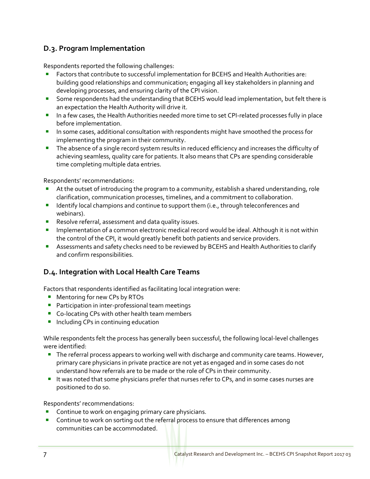### <span id="page-8-0"></span>**D.3. Program Implementation**

Respondents reported the following challenges:

- Factors that contribute to successful implementation for BCEHS and Health Authorities are: building good relationships and communication; engaging all key stakeholders in planning and developing processes, and ensuring clarity of the CPI vision.
- **Some respondents had the understanding that BCEHS would lead implementation, but felt there is** an expectation the Health Authority will drive it.
- In a few cases, the Health Authorities needed more time to set CPI-related processes fully in place before implementation.
- **In some cases, additional consultation with respondents might have smoothed the process for** implementing the program in their community.
- **The absence of a single record system results in reduced efficiency and increases the difficulty of** achieving seamless, quality care for patients. It also means that CPs are spending considerable time completing multiple data entries.

Respondents' recommendations:

- At the outset of introducing the program to a community, establish a shared understanding, role clarification, communication processes, timelines, and a commitment to collaboration.
- **IDENTIFY** local champions and continue to support them (i.e., through teleconferences and webinars).
- **Resolve referral, assessment and data quality issues.**
- **IMPLEM** Implementation of a common electronic medical record would be ideal. Although it is not within the control of the CPI, it would greatly benefit both patients and service providers.
- **Assessments and safety checks need to be reviewed by BCEHS and Health Authorities to clarify** and confirm responsibilities.

### <span id="page-8-1"></span>**D.4. Integration with Local Health Care Teams**

Factors that respondents identified as facilitating local integration were:

- **Mentoring for new CPs by RTOs**
- **Participation in inter-professional team meetings**
- Co-locating CPs with other health team members
- **Including CPs in continuing education**

While respondents felt the process has generally been successful, the following local-level challenges were identified:

- The referral process appears to working well with discharge and community care teams. However, primary care physicians in private practice are not yet as engaged and in some cases do not understand how referrals are to be made or the role of CPs in their community.
- It was noted that some physicians prefer that nurses refer to CPs, and in some cases nurses are positioned to do so.

Respondents' recommendations:

- Continue to work on engaging primary care physicians.
- **Continue to work on sorting out the referral process to ensure that differences among** communities can be accommodated.